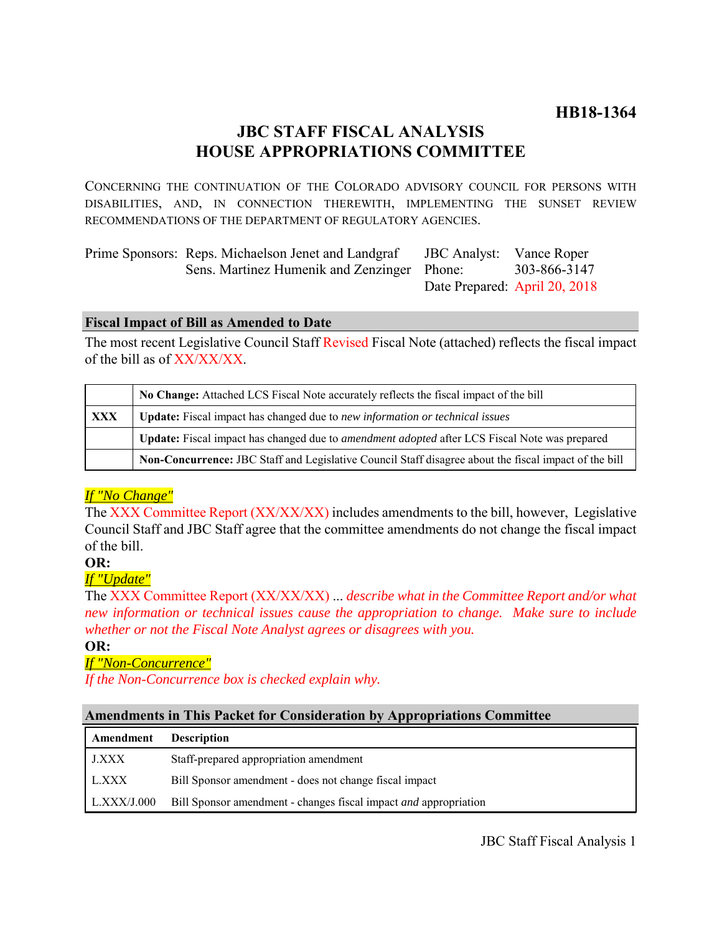# **JBC STAFF FISCAL ANALYSIS HOUSE APPROPRIATIONS COMMITTEE**

CONCERNING THE CONTINUATION OF THE COLORADO ADVISORY COUNCIL FOR PERSONS WITH DISABILITIES, AND, IN CONNECTION THEREWITH, IMPLEMENTING THE SUNSET REVIEW RECOMMENDATIONS OF THE DEPARTMENT OF REGULATORY AGENCIES.

| Prime Sponsors: Reps. Michaelson Jenet and Landgraf | <b>JBC</b> Analyst: Vance Roper |              |
|-----------------------------------------------------|---------------------------------|--------------|
| Sens. Martinez Humenik and Zenzinger Phone:         |                                 | 303-866-3147 |
|                                                     | Date Prepared: April 20, 2018   |              |

### **Fiscal Impact of Bill as Amended to Date**

The most recent Legislative Council Staff Revised Fiscal Note (attached) reflects the fiscal impact of the bill as of XX/XX/XX.

|            | No Change: Attached LCS Fiscal Note accurately reflects the fiscal impact of the bill                 |  |
|------------|-------------------------------------------------------------------------------------------------------|--|
| <b>XXX</b> | <b>Update:</b> Fiscal impact has changed due to new information or technical issues                   |  |
|            | Update: Fiscal impact has changed due to <i>amendment adopted</i> after LCS Fiscal Note was prepared  |  |
|            | Non-Concurrence: JBC Staff and Legislative Council Staff disagree about the fiscal impact of the bill |  |

# *If "No Change"*

The XXX Committee Report (XX/XX/XX) includes amendments to the bill, however, Legislative Council Staff and JBC Staff agree that the committee amendments do not change the fiscal impact of the bill.

# **OR:**

# *If "Update"*

The XXX Committee Report (XX/XX/XX) ... *describe what in the Committee Report and/or what new information or technical issues cause the appropriation to change. Make sure to include whether or not the Fiscal Note Analyst agrees or disagrees with you.*

### **OR:**

# *If "Non-Concurrence"*

*If the Non-Concurrence box is checked explain why.* 

### **Amendments in This Packet for Consideration by Appropriations Committee**

| Amendment   | <b>Description</b>                                                      |
|-------------|-------------------------------------------------------------------------|
| J.XXX       | Staff-prepared appropriation amendment                                  |
| L.XXX       | Bill Sponsor amendment - does not change fiscal impact                  |
| L.XXX/J.000 | Bill Sponsor amendment - changes fiscal impact <i>and</i> appropriation |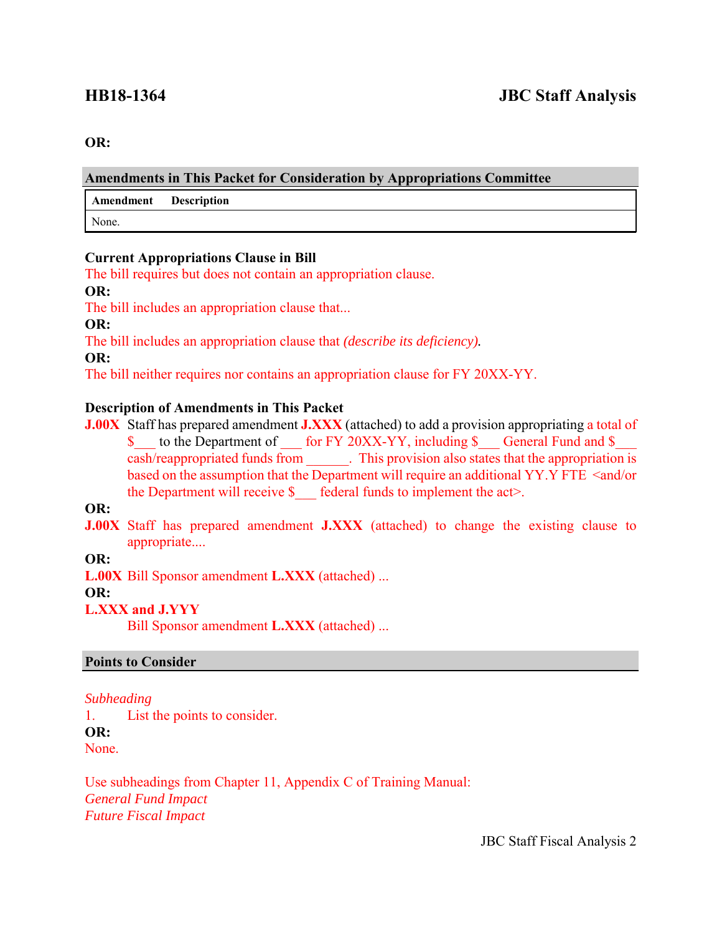#### **OR:**

### **Amendments in This Packet for Consideration by Appropriations Committee**

**Amendment Description**

None.

### **Current Appropriations Clause in Bill**

The bill requires but does not contain an appropriation clause.

#### **OR:**

The bill includes an appropriation clause that...

**OR:**

The bill includes an appropriation clause that *(describe its deficiency).*

**OR:**

The bill neither requires nor contains an appropriation clause for FY 20XX-YY.

### **Description of Amendments in This Packet**

**J.00X** Staff has prepared amendment **J.XXX** (attached) to add a provision appropriating a total of \$ to the Department of for FY 20XX-YY, including \$ General Fund and \$ cash/reappropriated funds from . This provision also states that the appropriation is based on the assumption that the Department will require an additional YY.Y FTE <and/or the Department will receive  $\$  federal funds to implement the act>.

**OR:**

**J.00X** Staff has prepared amendment **J.XXX** (attached) to change the existing clause to appropriate....

# **OR:**

**L.00X** Bill Sponsor amendment **L.XXX** (attached) ...

# **OR:**

# **L.XXX and J.YYY**

Bill Sponsor amendment **L.XXX** (attached) ...

### **Points to Consider**

### *Subheading*

1. List the points to consider.

**OR:**

None.

Use subheadings from Chapter 11, Appendix C of Training Manual: *General Fund Impact Future Fiscal Impact*